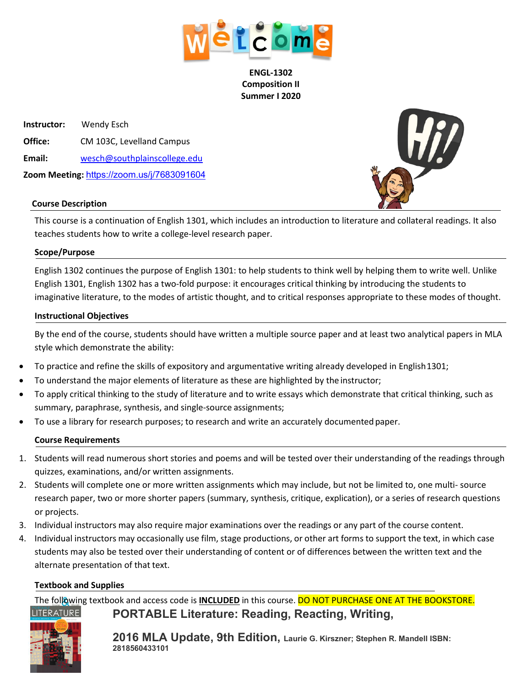

**ENGL-1302 Composition II Summer I 2020**

 **Instructor:** Wendy Esch **Office:** CM 103C, Levelland Campus  **Email:** [wesch@southplainscollege.edu](mailto:wesch@southplainscollege.edu)  **Zoom Meeting:** https://zoom.us/j/7683091604



#### **Course Description**

This course is a continuation of English 1301, which includes an introduction to literature and collateral readings. It also teaches students how to write a college-level research paper.

#### **Scope/Purpose**

English 1302 continues the purpose of English 1301: to help students to think well by helping them to write well. Unlike English 1301, English 1302 has a two-fold purpose: it encourages critical thinking by introducing the students to imaginative literature, to the modes of artistic thought, and to critical responses appropriate to these modes of thought.

#### **Instructional Objectives**

By the end of the course, students should have written a multiple source paper and at least two analytical papers in MLA style which demonstrate the ability:

- To practice and refine the skills of expository and argumentative writing already developed in English1301;
- To understand the major elements of literature as these are highlighted by the instructor;
- To apply critical thinking to the study of literature and to write essays which demonstrate that critical thinking, such as summary, paraphrase, synthesis, and single-source assignments;
- To use a library for research purposes; to research and write an accurately documented paper.

#### **Course Requirements**

- 1. Students will read numerous short stories and poems and will be tested over their understanding of the readings through quizzes, examinations, and/or written assignments.
- 2. Students will complete one or more written assignments which may include, but not be limited to, one multi- source research paper, two or more shorter papers (summary, synthesis, critique, explication), or a series of research questions or projects.
- 3. Individual instructors may also require major examinations over the readings or any part of the course content.
- 4. Individual instructors may occasionally use film, stage productions, or other art forms to support the text, in which case students may also be tested over their understanding of content or of differences between the written text and the alternate presentation of that text.

#### **Textbook and Supplies**

The following textbook and access code is **INCLUDED** in this course. DO NOT PURCHASE ONE AT THE BOOKSTORE. **LITERATURE PORTABLE Literature: Reading, Reacting, Writing,** 



**2016 MLA Update, 9th Edition, Laurie G. Kirszner; Stephen R. Mandell ISBN: 2818560433101**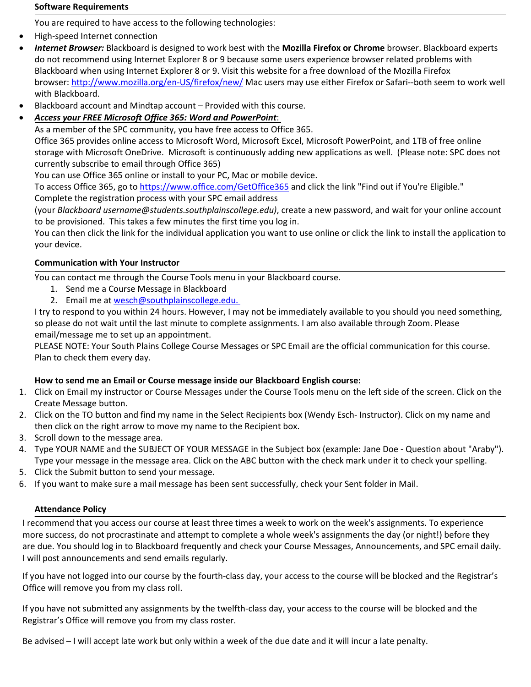#### **Software Requirements**

You are required to have access to the following technologies:

- High-speed Internet connection
- *Internet Browser:* Blackboard is designed to work best with the **Mozilla Firefox or Chrome** browser. Blackboard experts do not recommend using Internet Explorer 8 or 9 because some users experience browser related problems with Blackboard when using Internet Explorer 8 or 9. Visit this website for a free download of the Mozilla Firefox browser: <http://www.mozilla.org/en-US/firefox/new/> Mac users may use either Firefox or Safari--both seem to work well with Blackboard.
- Blackboard account and Mindtap account Provided with this course.

# • *Access your FREE Microsoft Office 365: Word and PowerPoint*:

As a member of the SPC community, you have free access to Office 365.

Office 365 provides online access to Microsoft Word, Microsoft Excel, Microsoft PowerPoint, and 1TB of free online storage with Microsoft OneDrive. Microsoft is continuously adding new applications as well. (Please note: SPC does not currently subscribe to email through Office 365)

You can use Office 365 online or install to your PC, Mac or mobile device.

To access Office 365, go to <https://www.office.com/GetOffice365> and click the link "Find out if You're Eligible."

Complete the registration process with your SPC email address

(your *Blackboard username@students.southplainscollege.edu)*, create a new password, and wait for your online account to be provisioned. This takes a few minutes the first time you log in.

You can then click the link for the individual application you want to use online or click the link to install the application to your device.

# **Communication with Your Instructor**

You can contact me through the Course Tools menu in your Blackboard course.

- 1. Send me a Course Message in Blackboard
- 2. Email me at wesch@southplainscollege.edu.

I try to respond to you within 24 hours. However, I may not be immediately available to you should you need something, so please do not wait until the last minute to complete assignments. I am also available through Zoom. Please email/message me to set up an appointment.

PLEASE NOTE: Your South Plains College Course Messages or SPC Email are the official communication for this course. Plan to check them every day.

## **How to send me an Email or Course message inside our Blackboard English course:**

- 1. Click on Email my instructor or Course Messages under the Course Tools menu on the left side of the screen. Click on the Create Message button.
- 2. Click on the TO button and find my name in the Select Recipients box (Wendy Esch- Instructor). Click on my name and then click on the right arrow to move my name to the Recipient box.
- 3. Scroll down to the message area.
- 4. Type YOUR NAME and the SUBJECT OF YOUR MESSAGE in the Subject box (example: Jane Doe Question about "Araby"). Type your message in the message area. Click on the ABC button with the check mark under it to check your spelling.
- 5. Click the Submit button to send your message.
- 6. If you want to make sure a mail message has been sent successfully, check your Sent folder in Mail.

## **Attendance Policy**

I recommend that you access our course at least three times a week to work on the week's assignments. To experience more success, do not procrastinate and attempt to complete a whole week's assignments the day (or night!) before they are due. You should log in to Blackboard frequently and check your Course Messages, Announcements, and SPC email daily. I will post announcements and send emails regularly.

If you have not logged into our course by the fourth-class day, your access to the course will be blocked and the Registrar's Office will remove you from my class roll.

If you have not submitted any assignments by the twelfth-class day, your access to the course will be blocked and the Registrar's Office will remove you from my class roster.

Be advised – I will accept late work but only within a week of the due date and it will incur a late penalty.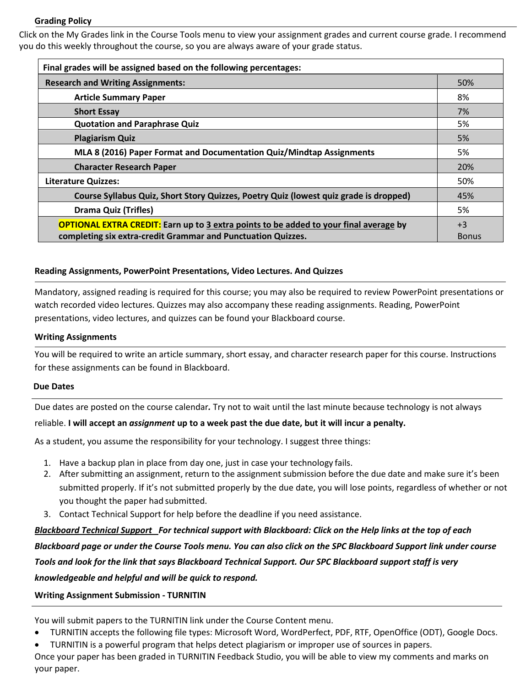#### **Grading Policy**

Click on the My Grades link in the Course Tools menu to view your assignment grades and current course grade. I recommend you do this weekly throughout the course, so you are always aware of your grade status.

| Final grades will be assigned based on the following percentages:                            |              |  |
|----------------------------------------------------------------------------------------------|--------------|--|
| <b>Research and Writing Assignments:</b>                                                     |              |  |
| <b>Article Summary Paper</b>                                                                 | 8%           |  |
| <b>Short Essay</b>                                                                           | 7%           |  |
| <b>Quotation and Paraphrase Quiz</b>                                                         |              |  |
| <b>Plagiarism Quiz</b>                                                                       |              |  |
| MLA 8 (2016) Paper Format and Documentation Quiz/Mindtap Assignments                         |              |  |
| <b>Character Research Paper</b>                                                              |              |  |
| <b>Literature Quizzes:</b>                                                                   |              |  |
| Course Syllabus Quiz, Short Story Quizzes, Poetry Quiz (lowest quiz grade is dropped)        |              |  |
| <b>Drama Quiz (Trifles)</b>                                                                  | 5%           |  |
| <b>OPTIONAL EXTRA CREDIT:</b> Earn up to 3 extra points to be added to your final average by |              |  |
| completing six extra-credit Grammar and Punctuation Quizzes.                                 | <b>Bonus</b> |  |

#### **Reading Assignments, PowerPoint Presentations, Video Lectures. And Quizzes**

Mandatory, assigned reading is required for this course; you may also be required to review PowerPoint presentations or watch recorded video lectures. Quizzes may also accompany these reading assignments. Reading, PowerPoint presentations, video lectures, and quizzes can be found your Blackboard course.

#### **Writing Assignments**

You will be required to write an article summary, short essay, and character research paper for this course. Instructions for these assignments can be found in Blackboard.

#### **Due Dates**

Due dates are posted on the course calendar*.* Try not to wait until the last minute because technology is not always

reliable. **I will accept an** *assignment* **up to a week past the due date, but it will incur a penalty.**

As a student, you assume the responsibility for your technology. I suggest three things:

- 1. Have a backup plan in place from day one, just in case your technology fails.
- 2. After submitting an assignment, return to the assignment submission before the due date and make sure it's been submitted properly. If it's not submitted properly by the due date, you will lose points, regardless of whether or not you thought the paper had submitted.
- 3. Contact Technical Support for help before the deadline if you need assistance.

*Blackboard Technical Support For technical support with Blackboard: Click on the Help links at the top of each Blackboard page or under the Course Tools menu. You can also click on the SPC Blackboard Support link under course Tools and look for the link that says Blackboard Technical Support. Our SPC Blackboard support staff is very knowledgeable and helpful and will be quick to respond.*

#### **Writing Assignment Submission - TURNITIN**

You will submit papers to the TURNITIN link under the Course Content menu.

- TURNITIN accepts the following file types: Microsoft Word, WordPerfect, PDF, RTF, OpenOffice (ODT), Google Docs.
- TURNITIN is a powerful program that helps detect plagiarism or improper use of sources in papers.

Once your paper has been graded in TURNITIN Feedback Studio, you will be able to view my comments and marks on your paper.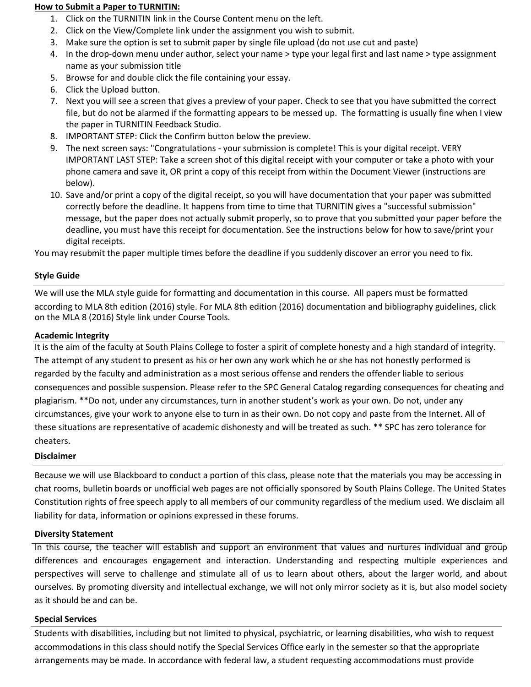#### **How to Submit a Paper to TURNITIN:**

- 1. Click on the TURNITIN link in the Course Content menu on the left.
- 2. Click on the View/Complete link under the assignment you wish to submit.
- 3. Make sure the option is set to submit paper by single file upload (do not use cut and paste)
- 4. In the drop-down menu under author, select your name > type your legal first and last name > type assignment name as your submission title
- 5. Browse for and double click the file containing your essay.
- 6. Click the Upload button.
- 7. Next you will see a screen that gives a preview of your paper. Check to see that you have submitted the correct file, but do not be alarmed if the formatting appears to be messed up. The formatting is usually fine when I view the paper in TURNITIN Feedback Studio.
- 8. IMPORTANT STEP: Click the Confirm button below the preview.
- 9. The next screen says: "Congratulations your submission is complete! This is your digital receipt. VERY IMPORTANT LAST STEP: Take a screen shot of this digital receipt with your computer or take a photo with your phone camera and save it, OR print a copy of this receipt from within the Document Viewer (instructions are below).
- 10. Save and/or print a copy of the digital receipt, so you will have documentation that your paper was submitted correctly before the deadline. It happens from time to time that TURNITIN gives a "successful submission" message, but the paper does not actually submit properly, so to prove that you submitted your paper before the deadline, you must have this receipt for documentation. See the instructions below for how to save/print your digital receipts.

You may resubmit the paper multiple times before the deadline if you suddenly discover an error you need to fix.

## **Style Guide**

We will use the MLA style guide for formatting and documentation in this course. All papers must be formatted according to MLA 8th edition (2016) style. For MLA 8th edition (2016) documentation and bibliography guidelines, click on the MLA 8 (2016) Style link under Course Tools.

## **Academic Integrity**

It is the aim of the faculty at South Plains College to foster a spirit of complete honesty and a high standard of integrity. The attempt of any student to present as his or her own any work which he or she has not honestly performed is regarded by the faculty and administration as a most serious offense and renders the offender liable to serious consequences and possible suspension. Please refer to the SPC General Catalog regarding consequences for cheating and plagiarism. \*\*Do not, under any circumstances, turn in another student's work as your own. Do not, under any circumstances, give your work to anyone else to turn in as their own. Do not copy and paste from the Internet. All of these situations are representative of academic dishonesty and will be treated as such. \*\* SPC has zero tolerance for cheaters.

#### **Disclaimer**

Because we will use Blackboard to conduct a portion of this class, please note that the materials you may be accessing in chat rooms, bulletin boards or unofficial web pages are not officially sponsored by South Plains College. The United States Constitution rights of free speech apply to all members of our community regardless of the medium used. We disclaim all liability for data, information or opinions expressed in these forums.

## **Diversity Statement**

In this course, the teacher will establish and support an environment that values and nurtures individual and group differences and encourages engagement and interaction. Understanding and respecting multiple experiences and perspectives will serve to challenge and stimulate all of us to learn about others, about the larger world, and about ourselves. By promoting diversity and intellectual exchange, we will not only mirror society as it is, but also model society as it should be and can be.

#### **Special Services**

Students with disabilities, including but not limited to physical, psychiatric, or learning disabilities, who wish to request accommodations in this class should notify the Special Services Office early in the semester so that the appropriate arrangements may be made. In accordance with federal law, a student requesting accommodations must provide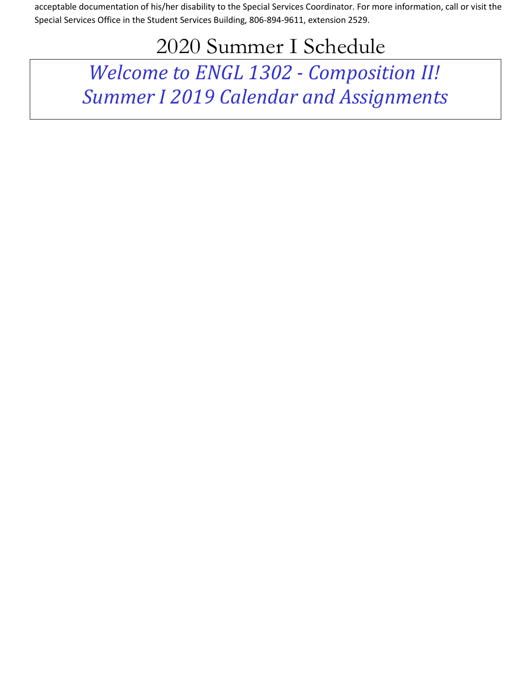acceptable documentation of his/her disability to the Special Services Coordinator. For more information, call or visit the Special Services Office in the Student Services Building, 806-894-9611, extension 2529.

# 2020 Summer I Schedule

*Welcome to ENGL 1302 - Composition II! Summer I 2019 Calendar and Assignments*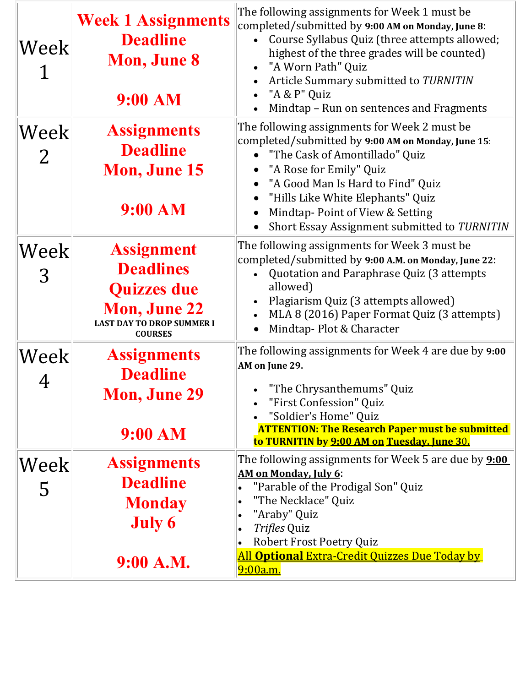| Week                              | <b>Week 1 Assignments</b><br><b>Deadline</b><br><b>Mon, June 8</b><br>9:00 AM                                                            | The following assignments for Week 1 must be<br>completed/submitted by 9:00 AM on Monday, June 8:<br>Course Syllabus Quiz (three attempts allowed;<br>highest of the three grades will be counted)<br>"A Worn Path" Quiz<br>Article Summary submitted to TURNITIN<br>"A & P" Quiz<br>Mindtap - Run on sentences and Fragments               |
|-----------------------------------|------------------------------------------------------------------------------------------------------------------------------------------|---------------------------------------------------------------------------------------------------------------------------------------------------------------------------------------------------------------------------------------------------------------------------------------------------------------------------------------------|
| $ \text{Week} $<br>$\overline{2}$ | <b>Assignments</b><br><b>Deadline</b><br><b>Mon, June 15</b><br>9:00 AM                                                                  | The following assignments for Week 2 must be<br>completed/submitted by 9:00 AM on Monday, June 15:<br>• "The Cask of Amontillado" Quiz<br>"A Rose for Emily" Quiz<br>"A Good Man Is Hard to Find" Quiz<br>"Hills Like White Elephants" Quiz<br>Mindtap-Point of View & Setting<br>Short Essay Assignment submitted to TURNITIN<br>$\bullet$ |
| $ \text{Week} $<br>3              | <b>Assignment</b><br><b>Deadlines</b><br><b>Quizzes due</b><br><b>Mon, June 22</b><br><b>LAST DAY TO DROP SUMMER I</b><br><b>COURSES</b> | The following assignments for Week 3 must be<br>completed/submitted by 9:00 A.M. on Monday, June 22:<br>Quotation and Paraphrase Quiz (3 attempts<br>allowed)<br>Plagiarism Quiz (3 attempts allowed)<br>MLA 8 (2016) Paper Format Quiz (3 attempts)<br>Mindtap-Plot & Character                                                            |
| Week<br>4                         | <b>Assignments</b><br><b>Deadline</b><br><b>Mon, June 29</b><br>9:00 AM                                                                  | The following assignments for Week 4 are due by 9:00<br>AM on June 29.<br>"The Chrysanthemums" Quiz<br>"First Confession" Quiz<br>"Soldier's Home" Quiz<br><b>ATTENTION: The Research Paper must be submitted</b><br>to TURNITIN by 9:00 AM on Tuesday, June 30.                                                                            |
| Week<br>5                         | <b>Assignments</b><br><b>Deadline</b><br><b>Monday</b><br><b>July 6</b><br>9:00 A.M.                                                     | The following assignments for Week 5 are due by <b>9:00</b><br>AM on Monday, July 6:<br>"Parable of the Prodigal Son" Quiz<br>"The Necklace" Quiz<br>$\bullet$<br>"Araby" Quiz<br>$\bullet$<br><i>Trifles</i> Quiz<br>Robert Frost Poetry Quiz<br>$\bullet$<br><b>All Optional Extra-Credit Quizzes Due Today by</b><br><u>9:00a.m.</u>     |